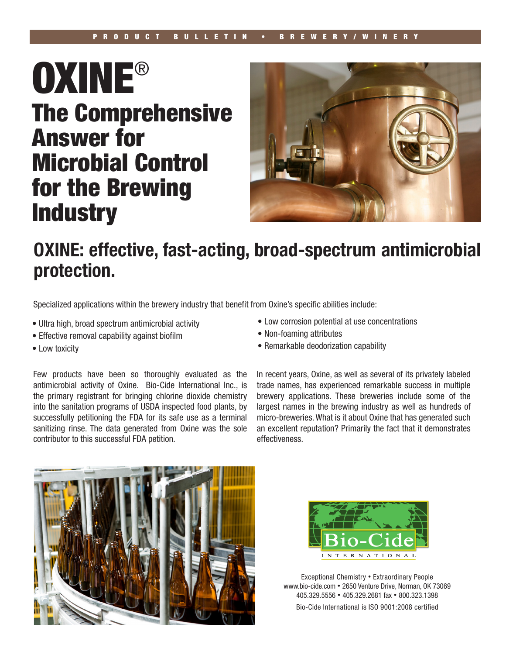# **OXINE®** The Comprehensive Answer for Microbial Control for the Brewing **Industry**



# OXINE: effective, fast-acting, broad-spectrum antimicrobial protection.

Specialized applications within the brewery industry that benefit from Oxine's specific abilities include:

- Ultra high, broad spectrum antimicrobial activity
- Effective removal capability against biofilm
- Low toxicity

Few products have been so thoroughly evaluated as the antimicrobial activity of Oxine. Bio-Cide International Inc., is the primary registrant for bringing chlorine dioxide chemistry into the sanitation programs of USDA inspected food plants, by successfully petitioning the FDA for its safe use as a terminal sanitizing rinse. The data generated from Oxine was the sole contributor to this successful FDA petition.

- Low corrosion potential at use concentrations
- Non-foaming attributes
- Remarkable deodorization capability

In recent years, Oxine, as well as several of its privately labeled trade names, has experienced remarkable success in multiple brewery applications. These breweries include some of the largest names in the brewing industry as well as hundreds of micro-breweries. What is it about Oxine that has generated such an excellent reputation? Primarily the fact that it demonstrates effectiveness.





Exceptional Chemistry • Extraordinary People www.bio-cide.com • 2650 Venture Drive, Norman, OK 73069 405.329.5556 • 405.329.2681 fax • 800.323.1398 Bio-Cide International is ISO 9001:2008 certified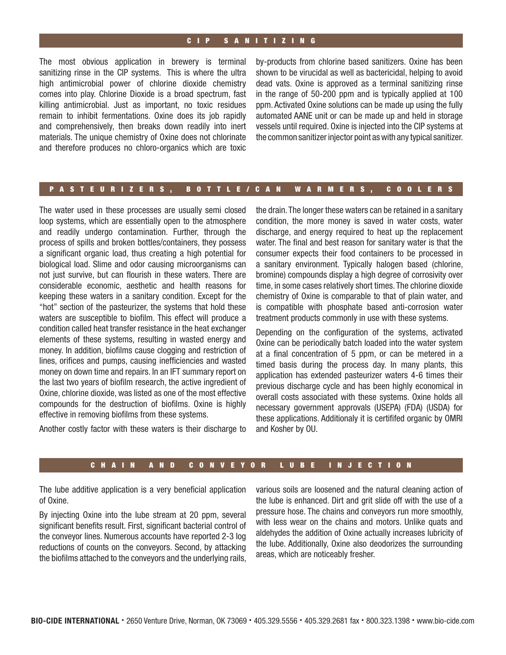# CIP SANITIZING

The most obvious application in brewery is terminal sanitizing rinse in the CIP systems. This is where the ultra high antimicrobial power of chlorine dioxide chemistry comes into play. Chlorine Dioxide is a broad spectrum, fast killing antimicrobial. Just as important, no toxic residues remain to inhibit fermentations. Oxine does its job rapidly and comprehensively, then breaks down readily into inert materials. The unique chemistry of Oxine does not chlorinate and therefore produces no chloro-organics which are toxic

by-products from chlorine based sanitizers. Oxine has been shown to be virucidal as well as bactericidal, helping to avoid dead vats. Oxine is approved as a terminal sanitizing rinse in the range of 50-200 ppm and is typically applied at 100 ppm. Activated Oxine solutions can be made up using the fully automated AANE unit or can be made up and held in storage vessels until required. Oxine is injected into the CIP systems at the common sanitizer injector point as with any typical sanitizer.

## PASTEURIZERS, BOTTLE/CAN WARMERS, COOLERS

The water used in these processes are usually semi closed loop systems, which are essentially open to the atmosphere and readily undergo contamination. Further, through the process of spills and broken bottles/containers, they possess a significant organic load, thus creating a high potential for biological load. Slime and odor causing microorganisms can not just survive, but can flourish in these waters. There are considerable economic, aesthetic and health reasons for keeping these waters in a sanitary condition. Except for the "hot" section of the pasteurizer, the systems that hold these waters are susceptible to biofilm. This effect will produce a condition called heat transfer resistance in the heat exchanger elements of these systems, resulting in wasted energy and money. In addition, biofilms cause clogging and restriction of lines, orifices and pumps, causing inefficiencies and wasted money on down time and repairs. In an IFT summary report on the last two years of biofilm research, the active ingredient of Oxine, chlorine dioxide, was listed as one of the most effective compounds for the destruction of biofilms. Oxine is highly effective in removing biofilms from these systems.

Another costly factor with these waters is their discharge to

the drain. The longer these waters can be retained in a sanitary condition, the more money is saved in water costs, water discharge, and energy required to heat up the replacement water. The final and best reason for sanitary water is that the consumer expects their food containers to be processed in a sanitary environment. Typically halogen based (chlorine, bromine) compounds display a high degree of corrosivity over time, in some cases relatively short times. The chlorine dioxide chemistry of Oxine is comparable to that of plain water, and is compatible with phosphate based anti-corrosion water treatment products commonly in use with these systems.

Depending on the configuration of the systems, activated Oxine can be periodically batch loaded into the water system at a final concentration of 5 ppm, or can be metered in a timed basis during the process day. In many plants, this application has extended pasteurizer waters 4-6 times their previous discharge cycle and has been highly economical in overall costs associated with these systems. Oxine holds all necessary government approvals (USEPA) (FDA) (USDA) for these applications. Additionaly it is certififed organic by OMRI and Kosher by OU.

#### CHAIN AND CONVEYOR LUBE INJECTION

The lube additive application is a very beneficial application of Oxine.

By injecting Oxine into the lube stream at 20 ppm, several significant benefits result. First, significant bacterial control of the conveyor lines. Numerous accounts have reported 2-3 log reductions of counts on the conveyors. Second, by attacking the biofilms attached to the conveyors and the underlying rails, various soils are loosened and the natural cleaning action of the lube is enhanced. Dirt and grit slide off with the use of a pressure hose. The chains and conveyors run more smoothly, with less wear on the chains and motors. Unlike quats and aldehydes the addition of Oxine actually increases lubricity of the lube. Additionally, Oxine also deodorizes the surrounding areas, which are noticeably fresher.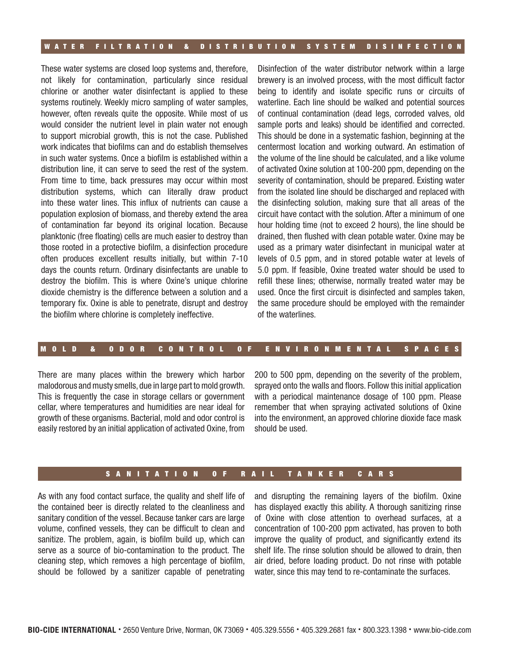## WATER FILTRATION & DISTRIBUTION SYSTEM DISINFECTION

These water systems are closed loop systems and, therefore, not likely for contamination, particularly since residual chlorine or another water disinfectant is applied to these systems routinely. Weekly micro sampling of water samples, however, often reveals quite the opposite. While most of us would consider the nutrient level in plain water not enough to support microbial growth, this is not the case. Published work indicates that biofilms can and do establish themselves in such water systems. Once a biofilm is established within a distribution line, it can serve to seed the rest of the system. From time to time, back pressures may occur within most distribution systems, which can literally draw product into these water lines. This influx of nutrients can cause a population explosion of biomass, and thereby extend the area of contamination far beyond its original location. Because planktonic (free floating) cells are much easier to destroy than those rooted in a protective biofilm, a disinfection procedure often produces excellent results initially, but within 7-10 days the counts return. Ordinary disinfectants are unable to destroy the biofilm. This is where Oxine's unique chlorine dioxide chemistry is the difference between a solution and a temporary fix. Oxine is able to penetrate, disrupt and destroy the biofilm where chlorine is completely ineffective.

Disinfection of the water distributor network within a large brewery is an involved process, with the most difficult factor being to identify and isolate specific runs or circuits of waterline. Each line should be walked and potential sources of continual contamination (dead legs, corroded valves, old sample ports and leaks) should be identified and corrected. This should be done in a systematic fashion, beginning at the centermost location and working outward. An estimation of the volume of the line should be calculated, and a like volume of activated Oxine solution at 100-200 ppm, depending on the severity of contamination, should be prepared. Existing water from the isolated line should be discharged and replaced with the disinfecting solution, making sure that all areas of the circuit have contact with the solution. After a minimum of one hour holding time (not to exceed 2 hours), the line should be drained, then flushed with clean potable water. Oxine may be used as a primary water disinfectant in municipal water at levels of 0.5 ppm, and in stored potable water at levels of 5.0 ppm. If feasible, Oxine treated water should be used to refill these lines; otherwise, normally treated water may be used. Once the first circuit is disinfected and samples taken, the same procedure should be employed with the remainder of the waterlines.

#### MOLD & ODOR CONTROL OF ENVIRONMENTAL SPACES

There are many places within the brewery which harbor malodorous and musty smells, due in large part to mold growth. This is frequently the case in storage cellars or government cellar, where temperatures and humidities are near ideal for growth of these organisms. Bacterial, mold and odor control is easily restored by an initial application of activated Oxine, from

200 to 500 ppm, depending on the severity of the problem, sprayed onto the walls and floors. Follow this initial application with a periodical maintenance dosage of 100 ppm. Please remember that when spraying activated solutions of Oxine into the environment, an approved chlorine dioxide face mask should be used.

#### SANITATION OF RAIL TANKER CARS

As with any food contact surface, the quality and shelf life of the contained beer is directly related to the cleanliness and sanitary condition of the vessel. Because tanker cars are large volume, confined vessels, they can be difficult to clean and sanitize. The problem, again, is biofilm build up, which can serve as a source of bio-contamination to the product. The cleaning step, which removes a high percentage of biofilm, should be followed by a sanitizer capable of penetrating and disrupting the remaining layers of the biofilm. Oxine has displayed exactly this ability. A thorough sanitizing rinse of Oxine with close attention to overhead surfaces, at a concentration of 100-200 ppm activated, has proven to both improve the quality of product, and significantly extend its shelf life. The rinse solution should be allowed to drain, then air dried, before loading product. Do not rinse with potable water, since this may tend to re-contaminate the surfaces.